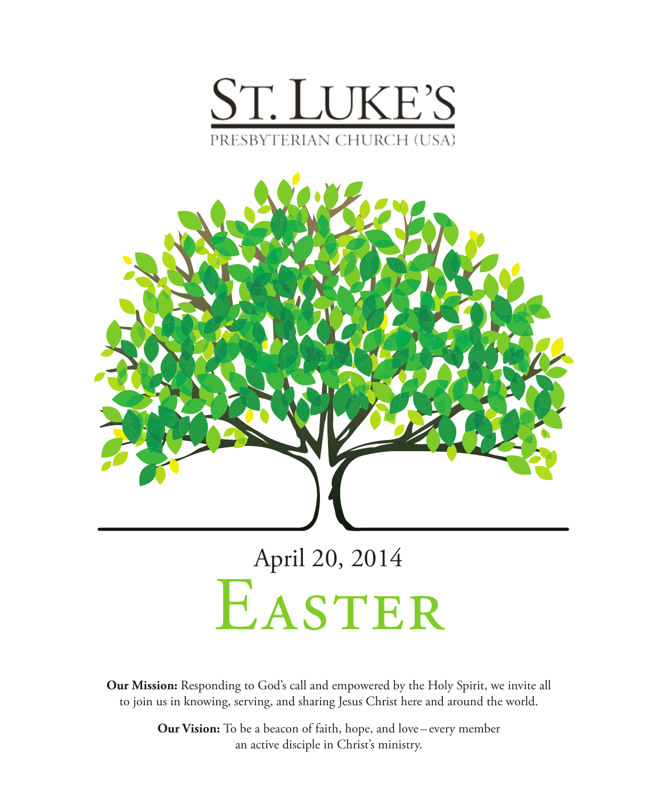



**Our Mission:** Responding to God's call and empowered by the Holy Spirit, we invite all to join us in knowing, serving, and sharing Jesus Christ here and around the world.

> **Our Vision:** To be a beacon of faith, hope, and love – every member an active disciple in Christ's ministry.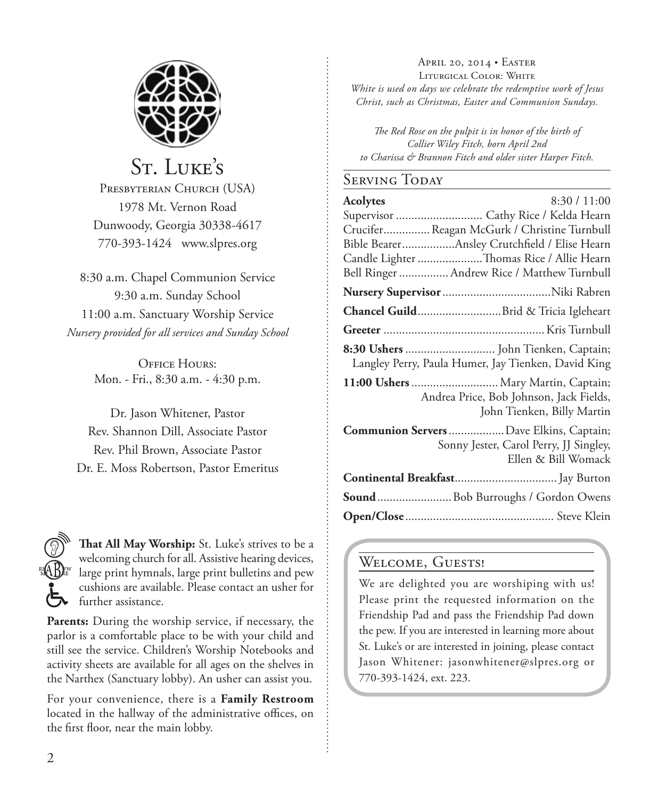

# St. Luke's

PRESBYTERIAN CHURCH (USA) 1978 Mt. Vernon Road Dunwoody, Georgia 30338-4617 770-393-1424 www.slpres.org

8:30 a.m. Chapel Communion Service 9:30 a.m. Sunday School 11:00 a.m. Sanctuary Worship Service *Nursery provided for all services and Sunday School*

> Office Hours: Mon. - Fri., 8:30 a.m. - 4:30 p.m.

Dr. Jason Whitener, Pastor Rev. Shannon Dill, Associate Pastor Rev. Phil Brown, Associate Pastor Dr. E. Moss Robertson, Pastor Emeritus



**That All May Worship:** St. Luke's strives to be a welcoming church for all. Assistive hearing devices, large print hymnals, large print bulletins and pew cushions are available. Please contact an usher for further assistance.

**Parents:** During the worship service, if necessary, the parlor is a comfortable place to be with your child and still see the service. Children's Worship Notebooks and activity sheets are available for all ages on the shelves in the Narthex (Sanctuary lobby). An usher can assist you.

For your convenience, there is a **Family Restroom** located in the hallway of the administrative offices, on the first floor, near the main lobby.

April 20, 2014 • Easter Liturgical Color: White *White is used on days we celebrate the redemptive work of Jesus Christ, such as Christmas, Easter and Communion Sundays.*

*The Red Rose on the pulpit is in honor of the birth of Collier Wiley Fitch, born April 2nd to Charissa & Brannon Fitch and older sister Harper Fitch.*

### Serving Today

| 8:30/11:00<br>Acolytes<br>Supervisor  Cathy Rice / Kelda Hearn<br>Crucifer Reagan McGurk / Christine Turnbull<br>Bible BearerAnsley Crutchfield / Elise Hearn<br>Candle Lighter Thomas Rice / Allie Hearn<br>Bell Ringer  Andrew Rice / Matthew Turnbull |
|----------------------------------------------------------------------------------------------------------------------------------------------------------------------------------------------------------------------------------------------------------|
|                                                                                                                                                                                                                                                          |
|                                                                                                                                                                                                                                                          |
|                                                                                                                                                                                                                                                          |
| Langley Perry, Paula Humer, Jay Tienken, David King                                                                                                                                                                                                      |
| 11:00 Ushers  Mary Martin, Captain;<br>Andrea Price, Bob Johnson, Jack Fields,<br>John Tienken, Billy Martin                                                                                                                                             |
| Communion Servers  Dave Elkins, Captain;<br>Sonny Jester, Carol Perry, JJ Singley,<br>Ellen & Bill Womack                                                                                                                                                |
|                                                                                                                                                                                                                                                          |
| Sound Bob Burroughs / Gordon Owens                                                                                                                                                                                                                       |
|                                                                                                                                                                                                                                                          |

## WELCOME, GUESTS!

We are delighted you are worshiping with us! Please print the requested information on the Friendship Pad and pass the Friendship Pad down the pew. If you are interested in learning more about St. Luke's or are interested in joining, please contact Jason Whitener: jasonwhitener@slpres.org or 770-393-1424, ext. 223.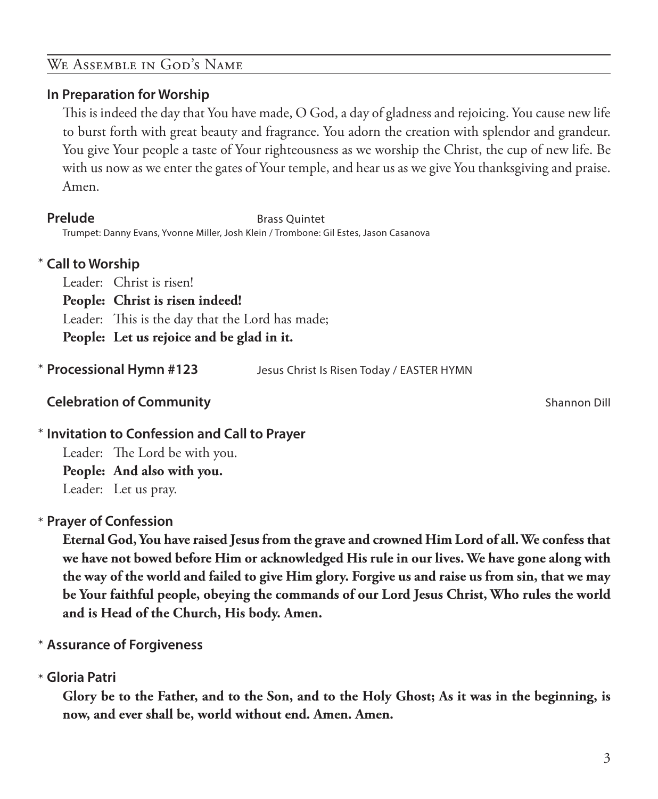## We Assemble in God's Name

## **In Preparation for Worship**

 This is indeed the day that You have made, O God, a day of gladness and rejoicing. You cause new life to burst forth with great beauty and fragrance. You adorn the creation with splendor and grandeur. You give Your people a taste of Your righteousness as we worship the Christ, the cup of new life. Be with us now as we enter the gates of Your temple, and hear us as we give You thanksgiving and praise. Amen.

### **Prelude** Brass Ouintet

Trumpet: Danny Evans, Yvonne Miller, Josh Klein / Trombone: Gil Estes, Jason Casanova

## **Call to Worship**  \*

Leader: Christ is risen!

**People: Christ is risen indeed!**

Leader: This is the day that the Lord has made;

**People: Let us rejoice and be glad in it.**

## **Celebration of Community Shannon Dill Celebration of Community** Shannon Dill

## **Invitation to Confession and Call to Prayer**  \* Leader: The Lord be with you. **People: And also with you.**

Leader: Let us pray.

## **Prayer of Confession**  \*

 **Eternal God, You have raised Jesus from the grave and crowned Him Lord of all. We confess that we have not bowed before Him or acknowledged His rule in our lives. We have gone along with the way of the world and failed to give Him glory. Forgive us and raise us from sin, that we may be Your faithful people, obeying the commands of our Lord Jesus Christ, Who rules the world and is Head of the Church, His body. Amen.**

## **Assurance of Forgiveness** \*

## **Gloria Patri** \*

 **Glory be to the Father, and to the Son, and to the Holy Ghost; As it was in the beginning, is now, and ever shall be, world without end. Amen. Amen.**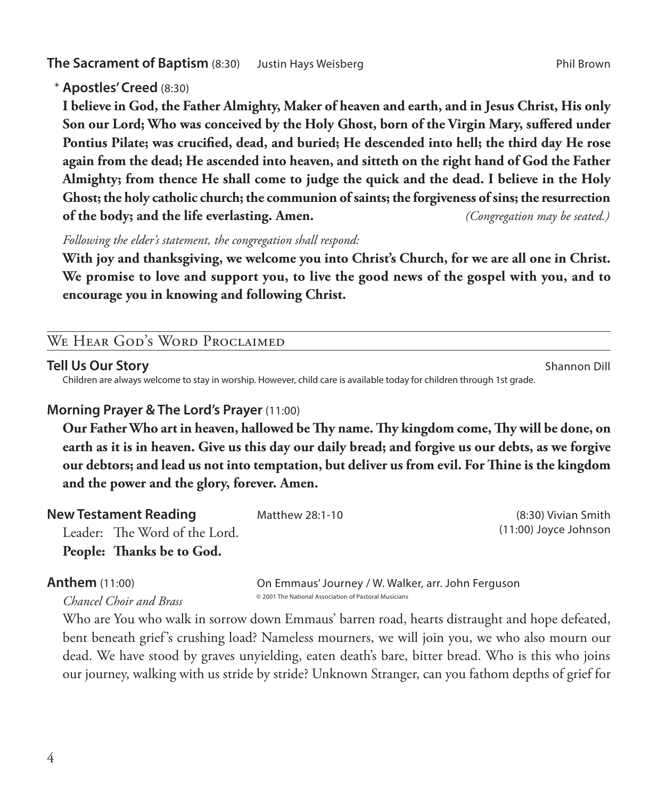**The Sacrament of Baptism** (8:30) Dustin Hays Weisberg **Phil Brown** Phil Brown

**Apostles' Creed** (8:30) \*

 **I believe in God, the Father Almighty, Maker of heaven and earth, and in Jesus Christ, His only Son our Lord; Who was conceived by the Holy Ghost, born of the Virgin Mary, suffered under Pontius Pilate; was crucified, dead, and buried; He descended into hell; the third day He rose again from the dead; He ascended into heaven, and sitteth on the right hand of God the Father Almighty; from thence He shall come to judge the quick and the dead. I believe in the Holy Ghost; the holy catholic church; the communion of saints; the forgiveness of sins; the resurrection of the body; and the life everlasting. Amen.** *(Congregation may be seated.)*

### *Following the elder's statement, the congregation shall respond:*

 **With joy and thanksgiving, we welcome you into Christ's Church, for we are all one in Christ. We promise to love and support you, to live the good news of the gospel with you, and to encourage you in knowing and following Christ.**

## We Hear God's Word Proclaimed

### **Tell Us Our Story** Shannon Dill

Children are always welcome to stay in worship. However, child care is available today for children through 1st grade.

## **Morning Prayer & The Lord's Prayer** (11:00)

 **Our Father Who art in heaven, hallowed be Thy name. Thy kingdom come, Thy will be done, on earth as it is in heaven. Give us this day our daily bread; and forgive us our debts, as we forgive our debtors; and lead us not into temptation, but deliver us from evil. For Thine is the kingdom and the power and the glory, forever. Amen.**

| <b>New Testament Reading</b>  | Matthew 28:1-10 | (8:30) Vivian Smith   |
|-------------------------------|-----------------|-----------------------|
| Leader: The Word of the Lord. |                 | (11:00) Joyce Johnson |
| People: Thanks be to God.     |                 |                       |

**Anthem** (11:00) **COL** COMERGIBLER COMERGIBLER CONDUCT ON EMMINICATE ON EMMINICATE OF CONDUCTATE OF CONDUCT ON EMMINICATE OF CONDUCT OF A LOCAL CONDUCT ON EMMINICATE OF CONDUCT ON EMMINICATE OF CONDUCT OF CONDUCT OF CONDUC *Chancel Choir and Brass* 
<sup>©</sup> 2001 The National Association of Pastoral Musicians

 Who are You who walk in sorrow down Emmaus' barren road, hearts distraught and hope defeated, bent beneath grief's crushing load? Nameless mourners, we will join you, we who also mourn our dead. We have stood by graves unyielding, eaten death's bare, bitter bread. Who is this who joins our journey, walking with us stride by stride? Unknown Stranger, can you fathom depths of grief for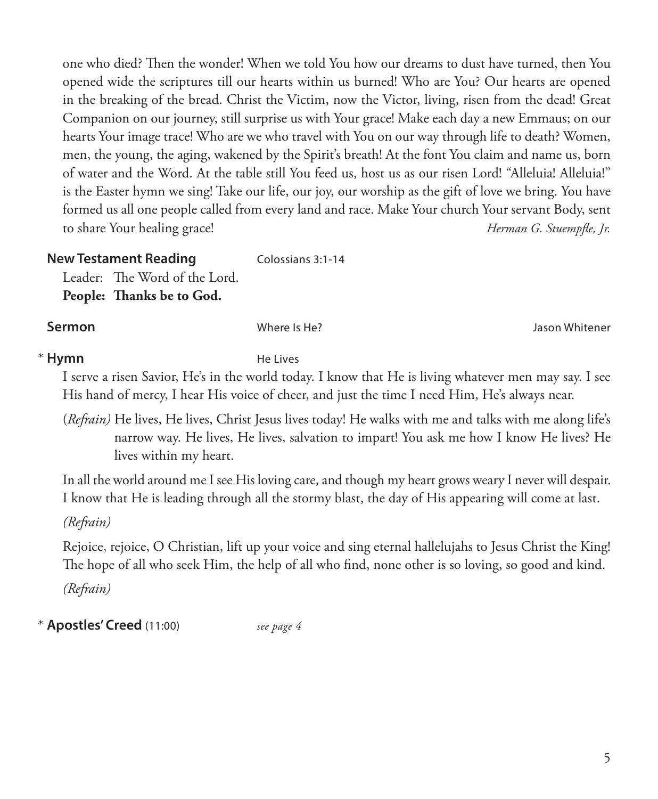one who died? Then the wonder! When we told You how our dreams to dust have turned, then You opened wide the scriptures till our hearts within us burned! Who are You? Our hearts are opened in the breaking of the bread. Christ the Victim, now the Victor, living, risen from the dead! Great Companion on our journey, still surprise us with Your grace! Make each day a new Emmaus; on our hearts Your image trace! Who are we who travel with You on our way through life to death? Women, men, the young, the aging, wakened by the Spirit's breath! At the font You claim and name us, born of water and the Word. At the table still You feed us, host us as our risen Lord! "Alleluia! Alleluia!" is the Easter hymn we sing! Take our life, our joy, our worship as the gift of love we bring. You have formed us all one people called from every land and race. Make Your church Your servant Body, sent to share Your healing grace! *Herman G. Stuempfle, Jr.*

## **New Testament Reading** Colossians 3:1-14

Leader: The Word of the Lord. **People: Thanks be to God.**

**Sermon Sermon Where Is He? Jason Whitener** 

## **Hymn** He Lives

 I serve a risen Savior, He's in the world today. I know that He is living whatever men may say. I see His hand of mercy, I hear His voice of cheer, and just the time I need Him, He's always near.

(*Refrain)* He lives, He lives, Christ Jesus lives today! He walks with me and talks with me along life's narrow way. He lives, He lives, salvation to impart! You ask me how I know He lives? He lives within my heart.

 In all the world around me I see His loving care, and though my heart grows weary I never will despair. I know that He is leading through all the stormy blast, the day of His appearing will come at last.

## *(Refrain)*

 Rejoice, rejoice, O Christian, lift up your voice and sing eternal hallelujahs to Jesus Christ the King! The hope of all who seek Him, the help of all who find, none other is so loving, so good and kind.

*(Refrain)*

**Apostles' Creed** (11:00) *see page 4* \*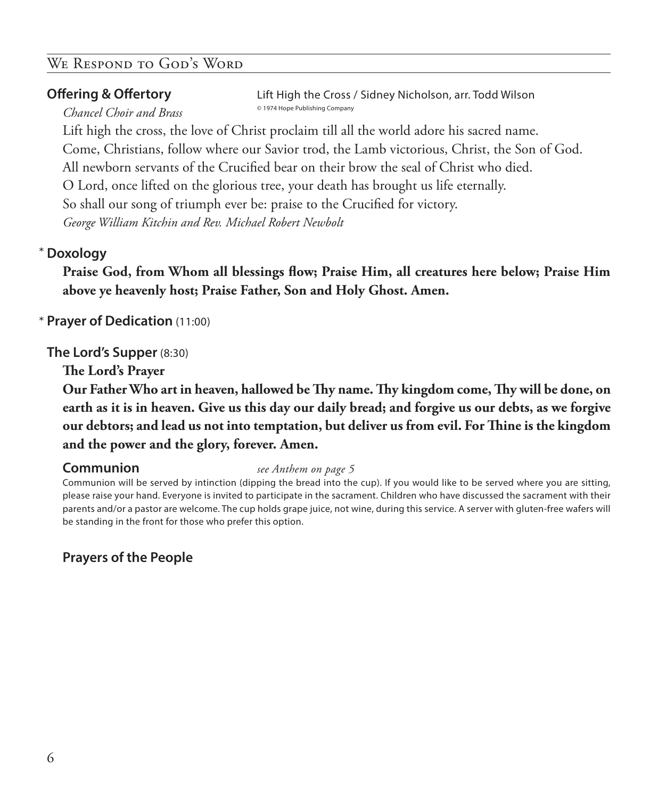## We Respond to God's Word

*Chancel Choir and Brass* © 1974 Hope Publishing Company

**Offering & Offertory** Lift High the Cross / Sidney Nicholson, arr. Todd Wilson

 Lift high the cross, the love of Christ proclaim till all the world adore his sacred name. Come, Christians, follow where our Savior trod, the Lamb victorious, Christ, the Son of God. All newborn servants of the Crucified bear on their brow the seal of Christ who died. O Lord, once lifted on the glorious tree, your death has brought us life eternally. So shall our song of triumph ever be: praise to the Crucified for victory. *George William Kitchin and Rev. Michael Robert Newbolt*

## **Doxology** \*

 **Praise God, from Whom all blessings flow; Praise Him, all creatures here below; Praise Him above ye heavenly host; Praise Father, Son and Holy Ghost. Amen.**

**Prayer of Dedication** (11:00) \*

### **The Lord's Supper** (8:30)

**The Lord's Prayer**

 **Our Father Who art in heaven, hallowed be Thy name. Thy kingdom come, Thy will be done, on earth as it is in heaven. Give us this day our daily bread; and forgive us our debts, as we forgive our debtors; and lead us not into temptation, but deliver us from evil. For Thine is the kingdom and the power and the glory, forever. Amen.**

### **Communion** *see Anthem on page 5*

Communion will be served by intinction (dipping the bread into the cup). If you would like to be served where you are sitting, please raise your hand. Everyone is invited to participate in the sacrament. Children who have discussed the sacrament with their parents and/or a pastor are welcome. The cup holds grape juice, not wine, during this service. A server with gluten-free wafers will be standing in the front for those who prefer this option.

## **Prayers of the People**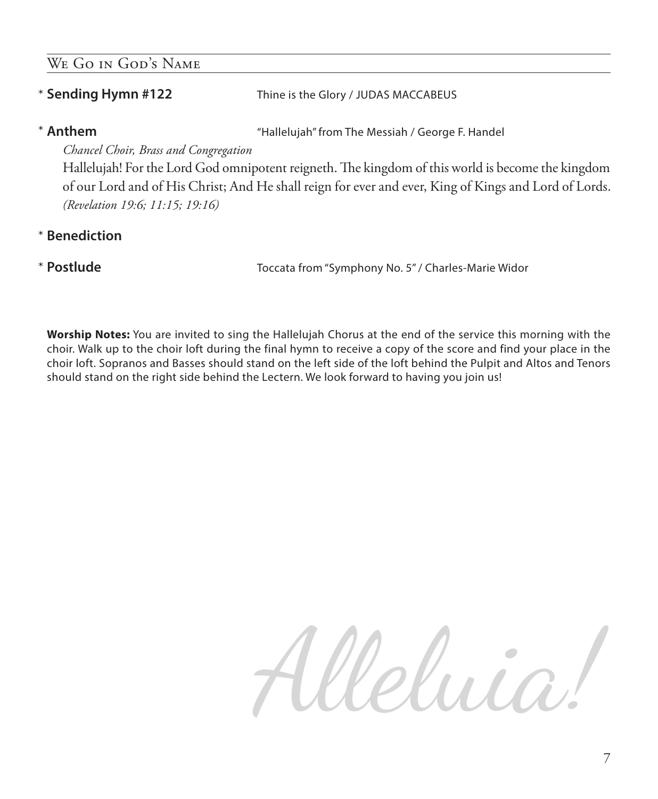## WE GO IN GOD'S NAME

| * Sending Hymn #122 | Thine is the Glory / JUDAS MACCABEUS |
|---------------------|--------------------------------------|
|---------------------|--------------------------------------|

**Anthem** "Hallelujah" from The Messiah / George F. Handel

*Chancel Choir, Brass and Congregation*

 Hallelujah! For the Lord God omnipotent reigneth. The kingdom of this world is become the kingdom of our Lord and of His Christ; And He shall reign for ever and ever, King of Kings and Lord of Lords. *(Revelation 19:6; 11:15; 19:16)*

## **Benediction** \*

\* Postlude

\* Anthem

Toccata from "Symphony No. 5" / Charles-Marie Widor

**Worship Notes:** You are invited to sing the Hallelujah Chorus at the end of the service this morning with the choir. Walk up to the choir loft during the final hymn to receive a copy of the score and find your place in the choir loft. Sopranos and Basses should stand on the left side of the loft behind the Pulpit and Altos and Tenors should stand on the right side behind the Lectern. We look forward to having you join us!

Alleluia!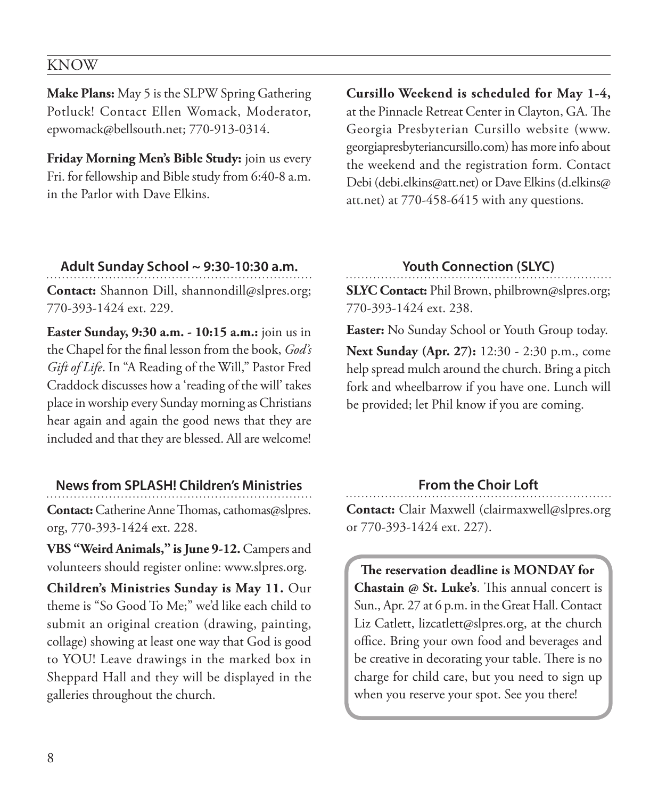## KNOW

**Make Plans:** May 5 is the SLPW Spring Gathering Potluck! Contact Ellen Womack, Moderator, epwomack@bellsouth.net; 770-913-0314.

**Friday Morning Men's Bible Study:** join us every Fri. for fellowship and Bible study from 6:40-8 a.m. in the Parlor with Dave Elkins.

**Adult Sunday School ~ 9:30-10:30 a.m.**

**Contact:** Shannon Dill, shannondill@slpres.org; 770-393-1424 ext. 229.

**Easter Sunday, 9:30 a.m. - 10:15 a.m.:** join us in the Chapel for the final lesson from the book, *God's Gift of Life*. In "A Reading of the Will," Pastor Fred Craddock discusses how a 'reading of the will' takes place in worship every Sunday morning as Christians hear again and again the good news that they are included and that they are blessed. All are welcome!

### **News from SPLASH! Children's Ministries**

**Contact:** Catherine Anne Thomas, cathomas@slpres. org, 770-393-1424 ext. 228.

**VBS "Weird Animals," is June 9-12.** Campers and volunteers should register online: www.slpres.org.

**Children's Ministries Sunday is May 11.** Our theme is "So Good To Me;" we'd like each child to submit an original creation (drawing, painting, collage) showing at least one way that God is good to YOU! Leave drawings in the marked box in Sheppard Hall and they will be displayed in the galleries throughout the church.

**Cursillo Weekend is scheduled for May 1-4,** at the Pinnacle Retreat Center in Clayton, GA. The Georgia Presbyterian Cursillo website (www. georgiapresbyteriancursillo.com) has more info about the weekend and the registration form. Contact Debi (debi.elkins@att.net) or Dave Elkins (d.elkins@ att.net) at 770-458-6415 with any questions.

### **Youth Connection (SLYC)**

**SLYC Contact:** Phil Brown, philbrown@slpres.org; 770-393-1424 ext. 238.

**Easter:** No Sunday School or Youth Group today.

Next Sunday (Apr. 27): 12:30 - 2:30 p.m., come help spread mulch around the church. Bring a pitch fork and wheelbarrow if you have one. Lunch will be provided; let Phil know if you are coming.

## **From the Choir Loft**

**Contact:** Clair Maxwell (clairmaxwell@slpres.org or 770-393-1424 ext. 227).

**The reservation deadline is MONDAY for Chastain @ St. Luke's**. This annual concert is Sun., Apr. 27 at 6 p.m. in the Great Hall. Contact Liz Catlett, lizcatlett@slpres.org, at the church office. Bring your own food and beverages and be creative in decorating your table. There is no charge for child care, but you need to sign up when you reserve your spot. See you there!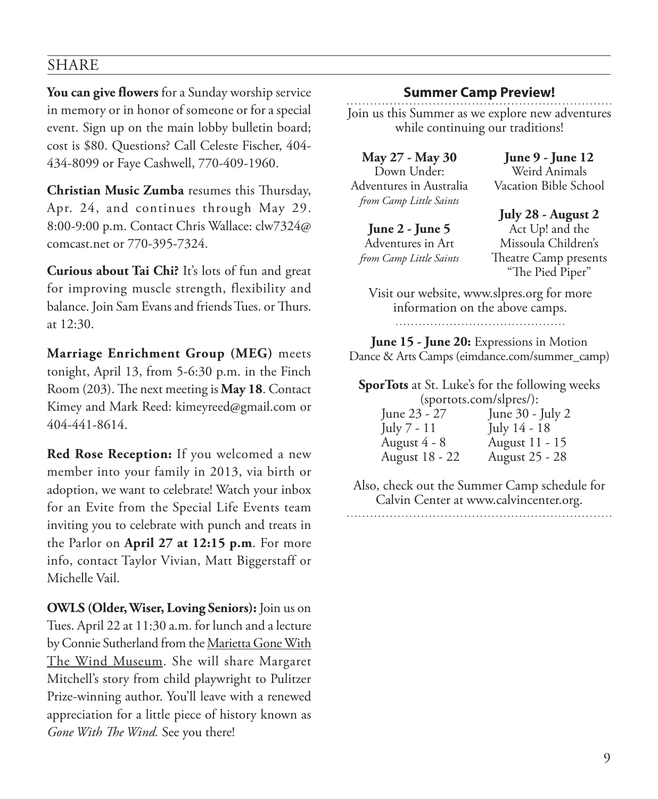## SHARE

**You can give flowers** for a Sunday worship service in memory or in honor of someone or for a special event. Sign up on the main lobby bulletin board; cost is \$80. Questions? Call Celeste Fischer, 404- 434-8099 or Faye Cashwell, 770-409-1960.

**Christian Music Zumba** resumes this Thursday, Apr. 24, and continues through May 29. 8:00-9:00 p.m. Contact Chris Wallace: clw7324@ comcast.net or 770-395-7324.

**Curious about Tai Chi?** It's lots of fun and great for improving muscle strength, flexibility and balance. Join Sam Evans and friends Tues. or Thurs. at 12:30.

**Marriage Enrichment Group (MEG)** meets tonight, April 13, from 5-6:30 p.m. in the Finch Room (203). The next meeting is **May 18**. Contact Kimey and Mark Reed: kimeyreed@gmail.com or 404-441-8614.

**Red Rose Reception:** If you welcomed a new member into your family in 2013, via birth or adoption, we want to celebrate! Watch your inbox for an Evite from the Special Life Events team inviting you to celebrate with punch and treats in the Parlor on **April 27 at 12:15 p.m**. For more info, contact Taylor Vivian, Matt Biggerstaff or Michelle Vail.

**OWLS (Older, Wiser, Loving Seniors):** Join us on Tues. April 22 at 11:30 a.m. for lunch and a lecture by Connie Sutherland from the Marietta Gone With The Wind Museum. She will share Margaret Mitchell's story from child playwright to Pulitzer Prize-winning author. You'll leave with a renewed appreciation for a little piece of history known as *Gone With The Wind.* See you there!

### **Summer Camp Preview!**

Join us this Summer as we explore new adventures while continuing our traditions!

**May 27 - May 30**  Down Under: Adventures in Australia *from Camp Little Saints*

**June 9 - June 12**  Weird Animals Vacation Bible School

**June 2 - June 5**  Adventures in Art *from Camp Little Saints*

**July 28 - August 2**  Act Up! and the Missoula Children's Theatre Camp presents "The Pied Piper"

Visit our website, www.slpres.org for more information on the above camps. 

**June 15 - June 20:** Expressions in Motion Dance & Arts Camps (eimdance.com/summer\_camp)

**SporTots** at St. Luke's for the following weeks (sportots.com/slpres/):

| June 23 - 27   | June 30 - July 2 |
|----------------|------------------|
| July 7 - 11    | July 14 - 18     |
| August 4 - 8   | August 11 - 15   |
| August 18 - 22 | August 25 - 28   |

Also, check out the Summer Camp schedule for Calvin Center at www.calvincenter.org.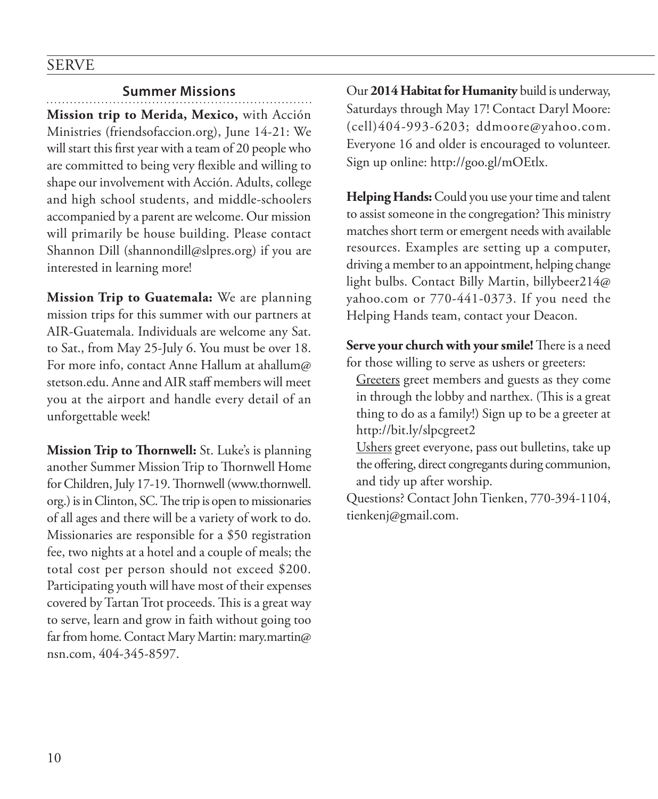## SERVE

### **Summer Missions**

**Mission trip to Merida, Mexico,** with Acción Ministries (friendsofaccion.org), June 14-21: We will start this first year with a team of 20 people who are committed to being very flexible and willing to shape our involvement with Acción. Adults, college and high school students, and middle-schoolers accompanied by a parent are welcome. Our mission will primarily be house building. Please contact Shannon Dill (shannondill@slpres.org) if you are interested in learning more!

**Mission Trip to Guatemala:** We are planning mission trips for this summer with our partners at AIR-Guatemala. Individuals are welcome any Sat. to Sat., from May 25-July 6. You must be over 18. For more info, contact Anne Hallum at ahallum@ stetson.edu. Anne and AIR staff members will meet you at the airport and handle every detail of an unforgettable week!

**Mission Trip to Thornwell:** St. Luke's is planning another Summer Mission Trip to Thornwell Home for Children, July 17-19. Thornwell (www.thornwell. org.) is in Clinton, SC. The trip is open to missionaries of all ages and there will be a variety of work to do. Missionaries are responsible for a \$50 registration fee, two nights at a hotel and a couple of meals; the total cost per person should not exceed \$200. Participating youth will have most of their expenses covered by Tartan Trot proceeds. This is a great way to serve, learn and grow in faith without going too far from home. Contact Mary Martin: mary.martin@ nsn.com, 404-345-8597.

Our **2014 Habitat for Humanity** build is underway, Saturdays through May 17! Contact Daryl Moore: (cell)404-993-6203; ddmoore@yahoo.com. Everyone 16 and older is encouraged to volunteer. Sign up online: http://goo.gl/mOEtlx.

**Helping Hands:** Could you use your time and talent to assist someone in the congregation? This ministry matches short term or emergent needs with available resources. Examples are setting up a computer, driving a member to an appointment, helping change light bulbs. Contact Billy Martin, billybeer214@ yahoo.com or 770-441-0373. If you need the Helping Hands team, contact your Deacon.

**Serve your church with your smile!** There is a need for those willing to serve as ushers or greeters:

 Greeters greet members and guests as they come in through the lobby and narthex. (This is a great thing to do as a family!) Sign up to be a greeter at http://bit.ly/slpcgreet2

 Ushers greet everyone, pass out bulletins, take up the offering, direct congregants during communion, and tidy up after worship.

Questions? Contact John Tienken, 770-394-1104, tienkenj@gmail.com.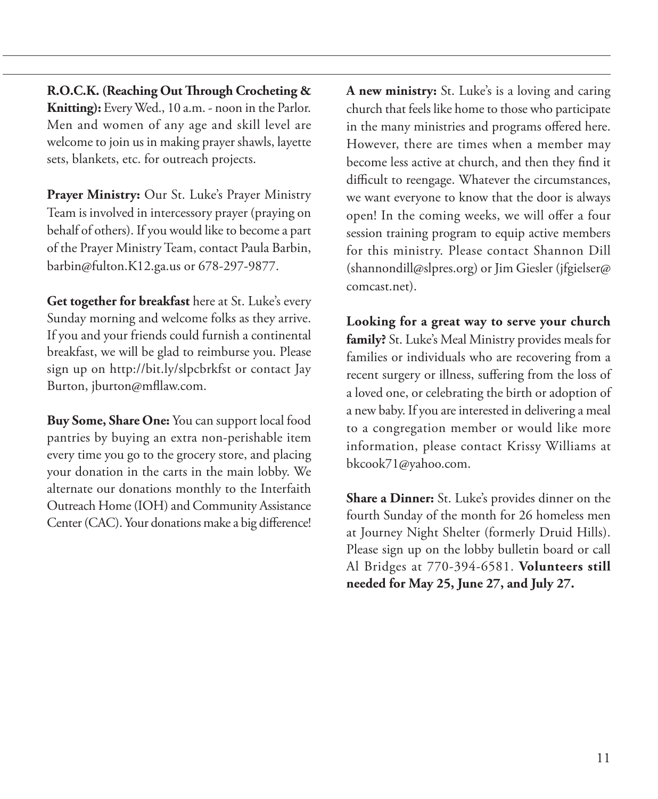**R.O.C.K. (Reaching Out Through Crocheting & Knitting):** Every Wed., 10 a.m. - noon in the Parlor. Men and women of any age and skill level are welcome to join us in making prayer shawls, layette sets, blankets, etc. for outreach projects.

**Prayer Ministry:** Our St. Luke's Prayer Ministry Team is involved in intercessory prayer (praying on behalf of others). If you would like to become a part of the Prayer Ministry Team, contact Paula Barbin, barbin@fulton.K12.ga.us or 678-297-9877.

Get together for breakfast here at St. Luke's every Sunday morning and welcome folks as they arrive. If you and your friends could furnish a continental breakfast, we will be glad to reimburse you. Please sign up on http://bit.ly/slpcbrkfst or contact Jay Burton, jburton@mfllaw.com.

**Buy Some, Share One:** You can support local food pantries by buying an extra non-perishable item every time you go to the grocery store, and placing your donation in the carts in the main lobby. We alternate our donations monthly to the Interfaith Outreach Home (IOH) and Community Assistance Center (CAC). Your donations make a big difference!

**A new ministry:** St. Luke's is a loving and caring church that feels like home to those who participate in the many ministries and programs offered here. However, there are times when a member may become less active at church, and then they find it difficult to reengage. Whatever the circumstances, we want everyone to know that the door is always open! In the coming weeks, we will offer a four session training program to equip active members for this ministry. Please contact Shannon Dill (shannondill@slpres.org) or Jim Giesler (jfgielser@ comcast.net).

**Looking for a great way to serve your church family?** St. Luke's Meal Ministry provides meals for families or individuals who are recovering from a recent surgery or illness, suffering from the loss of a loved one, or celebrating the birth or adoption of a new baby. If you are interested in delivering a meal to a congregation member or would like more information, please contact Krissy Williams at bkcook71@yahoo.com.

**Share a Dinner:** St. Luke's provides dinner on the fourth Sunday of the month for 26 homeless men at Journey Night Shelter (formerly Druid Hills). Please sign up on the lobby bulletin board or call Al Bridges at 770-394-6581. **Volunteers still needed for May 25, June 27, and July 27.**